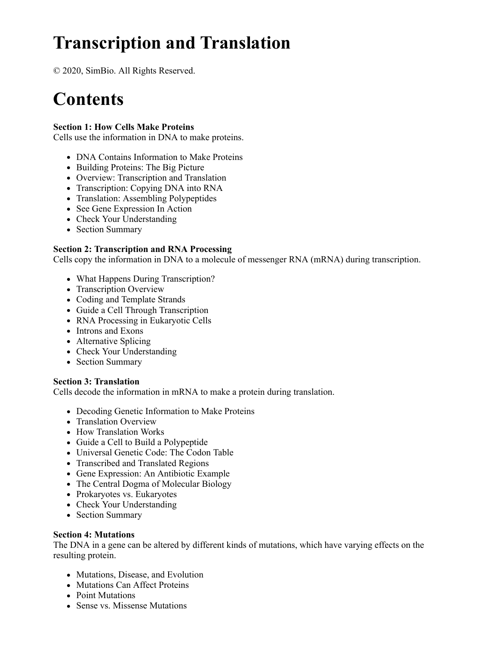# **Transcription and Translation**

© 2020, SimBio. All Rights Reserved.

# **Contents**

## **Section 1: How Cells Make Proteins**

Cells use the information in DNA to make proteins.

- DNA Contains Information to Make Proteins
- Building Proteins: The Big Picture
- Overview: Transcription and Translation
- Transcription: Copying DNA into RNA
- Translation: Assembling Polypeptides
- See Gene Expression In Action
- Check Your Understanding
- Section Summary

### **Section 2: Transcription and RNA Processing**

Cells copy the information in DNA to a molecule of messenger RNA (mRNA) during transcription.

- What Happens During Transcription?
- Transcription Overview
- Coding and Template Strands
- Guide a Cell Through Transcription
- RNA Processing in Eukaryotic Cells
- Introns and Exons
- Alternative Splicing
- Check Your Understanding
- Section Summary

#### **Section 3: Translation**

Cells decode the information in mRNA to make a protein during translation.

- Decoding Genetic Information to Make Proteins
- Translation Overview
- How Translation Works
- Guide a Cell to Build a Polypeptide
- Universal Genetic Code: The Codon Table
- Transcribed and Translated Regions
- Gene Expression: An Antibiotic Example
- The Central Dogma of Molecular Biology
- Prokaryotes vs. Eukaryotes
- Check Your Understanding
- Section Summary

#### **Section 4: Mutations**

The DNA in a gene can be altered by different kinds of mutations, which have varying effects on the resulting protein.

- Mutations, Disease, and Evolution
- Mutations Can Affect Proteins
- Point Mutations
- Sense vs. Missense Mutations